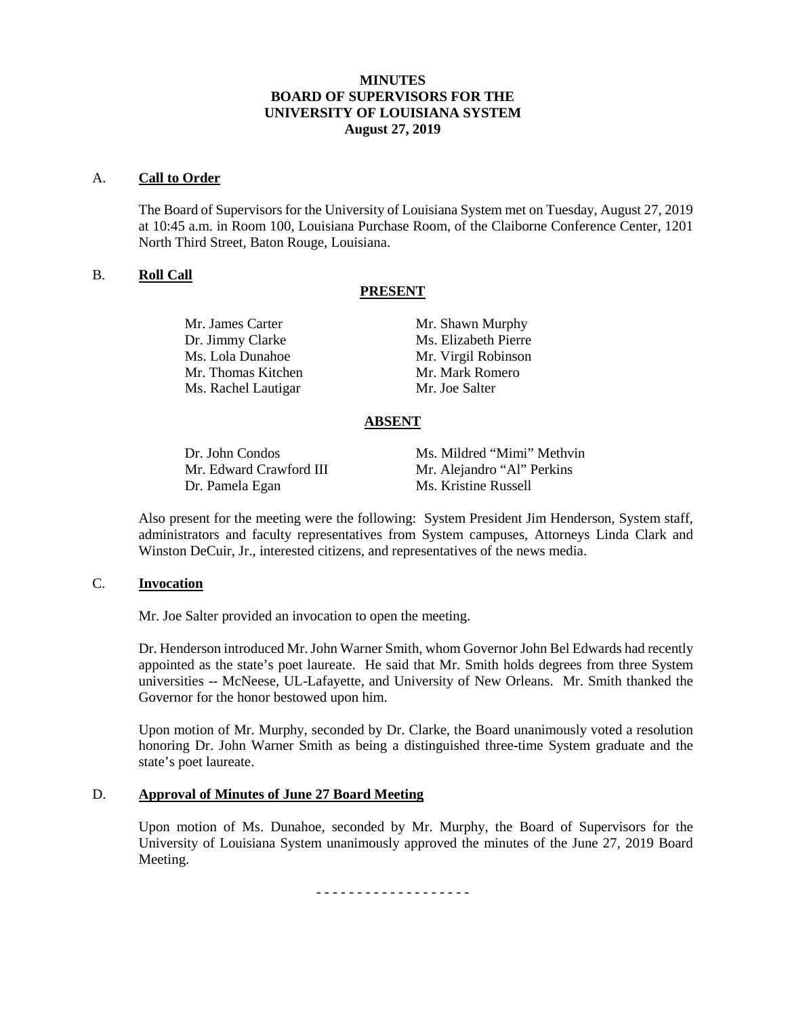## **MINUTES BOARD OF SUPERVISORS FOR THE UNIVERSITY OF LOUISIANA SYSTEM August 27, 2019**

#### A. **Call to Order**

The Board of Supervisors for the University of Louisiana System met on Tuesday, August 27, 2019 at 10:45 a.m. in Room 100, Louisiana Purchase Room, of the Claiborne Conference Center, 1201 North Third Street, Baton Rouge, Louisiana.

## B. **Roll Call**

#### **PRESENT**

| Mr. James Carter    | Mr. Shawn Murphy     |
|---------------------|----------------------|
| Dr. Jimmy Clarke    | Ms. Elizabeth Pierre |
| Ms. Lola Dunahoe    | Mr. Virgil Robinson  |
| Mr. Thomas Kitchen  | Mr. Mark Romero      |
| Ms. Rachel Lautigar | Mr. Joe Salter       |
|                     |                      |

## **ABSENT**

Dr. Pamela Egan Ms. Kristine Russell

Dr. John Condos Ms. Mildred "Mimi" Methvin Mr. Edward Crawford III Mr. Alejandro "Al" Perkins

Also present for the meeting were the following: System President Jim Henderson, System staff, administrators and faculty representatives from System campuses, Attorneys Linda Clark and Winston DeCuir, Jr., interested citizens, and representatives of the news media.

#### C. **Invocation**

Mr. Joe Salter provided an invocation to open the meeting.

Dr. Henderson introduced Mr. John Warner Smith, whom Governor John Bel Edwards had recently appointed as the state's poet laureate. He said that Mr. Smith holds degrees from three System universities -- McNeese, UL-Lafayette, and University of New Orleans. Mr. Smith thanked the Governor for the honor bestowed upon him.

Upon motion of Mr. Murphy, seconded by Dr. Clarke, the Board unanimously voted a resolution honoring Dr. John Warner Smith as being a distinguished three-time System graduate and the state's poet laureate.

## D. **Approval of Minutes of June 27 Board Meeting**

Upon motion of Ms. Dunahoe, seconded by Mr. Murphy, the Board of Supervisors for the University of Louisiana System unanimously approved the minutes of the June 27, 2019 Board Meeting.

- - - - - - - - - - - - - - - - - - -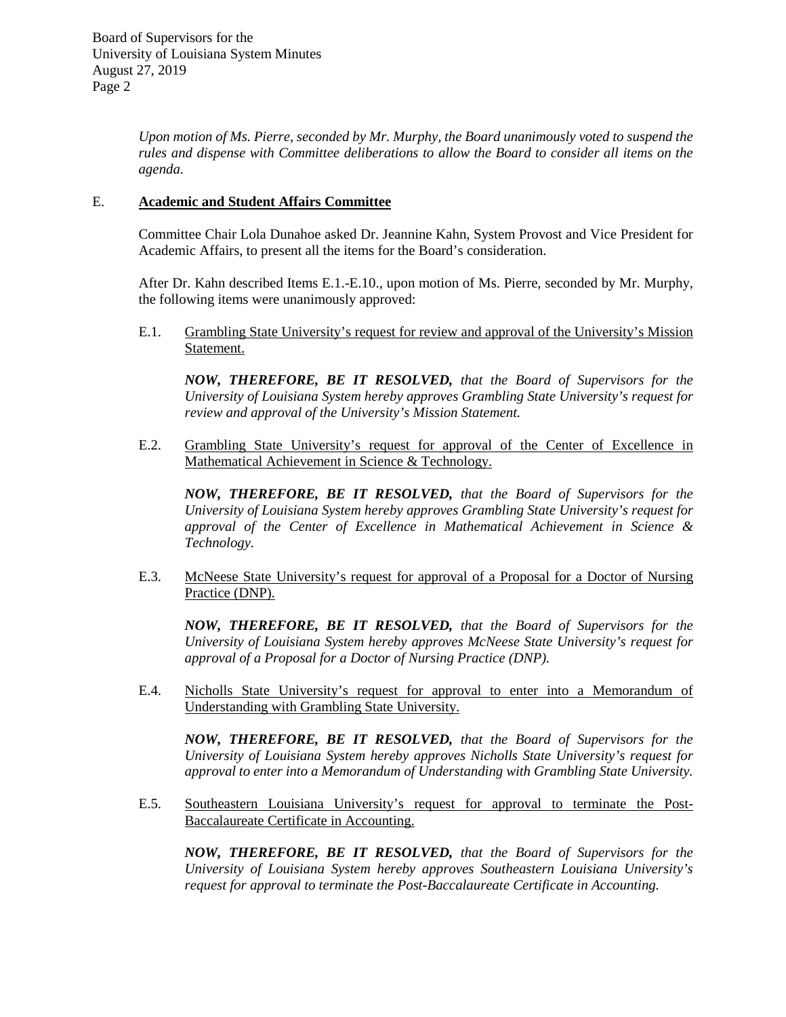*Upon motion of Ms. Pierre, seconded by Mr. Murphy, the Board unanimously voted to suspend the rules and dispense with Committee deliberations to allow the Board to consider all items on the agenda.*

## E. **Academic and Student Affairs Committee**

Committee Chair Lola Dunahoe asked Dr. Jeannine Kahn, System Provost and Vice President for Academic Affairs, to present all the items for the Board's consideration.

After Dr. Kahn described Items E.1.-E.10., upon motion of Ms. Pierre, seconded by Mr. Murphy, the following items were unanimously approved:

E.1. Grambling State University's request for review and approval of the University's Mission Statement.

*NOW, THEREFORE, BE IT RESOLVED, that the Board of Supervisors for the University of Louisiana System hereby approves Grambling State University's request for review and approval of the University's Mission Statement.*

E.2. Grambling State University's request for approval of the Center of Excellence in Mathematical Achievement in Science & Technology.

*NOW, THEREFORE, BE IT RESOLVED, that the Board of Supervisors for the University of Louisiana System hereby approves Grambling State University's request for approval of the Center of Excellence in Mathematical Achievement in Science & Technology.*

E.3. McNeese State University's request for approval of a Proposal for a Doctor of Nursing Practice (DNP).

*NOW, THEREFORE, BE IT RESOLVED, that the Board of Supervisors for the University of Louisiana System hereby approves McNeese State University's request for approval of a Proposal for a Doctor of Nursing Practice (DNP).*

E.4. Nicholls State University's request for approval to enter into a Memorandum of Understanding with Grambling State University.

*NOW, THEREFORE, BE IT RESOLVED, that the Board of Supervisors for the University of Louisiana System hereby approves Nicholls State University's request for approval to enter into a Memorandum of Understanding with Grambling State University.* 

E.5. Southeastern Louisiana University's request for approval to terminate the Post-Baccalaureate Certificate in Accounting.

*NOW, THEREFORE, BE IT RESOLVED, that the Board of Supervisors for the University of Louisiana System hereby approves Southeastern Louisiana University's request for approval to terminate the Post-Baccalaureate Certificate in Accounting.*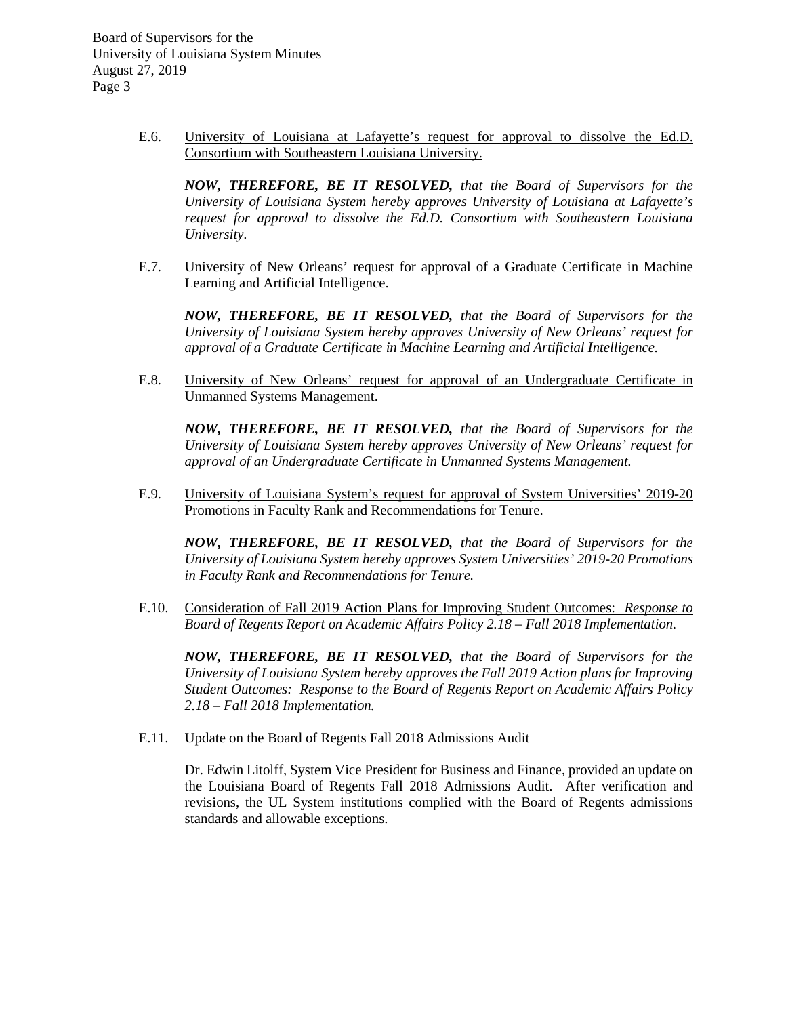> E.6. University of Louisiana at Lafayette's request for approval to dissolve the Ed.D. Consortium with Southeastern Louisiana University.

*NOW, THEREFORE, BE IT RESOLVED, that the Board of Supervisors for the University of Louisiana System hereby approves University of Louisiana at Lafayette's request for approval to dissolve the Ed.D. Consortium with Southeastern Louisiana University.* 

E.7. University of New Orleans' request for approval of a Graduate Certificate in Machine Learning and Artificial Intelligence.

*NOW, THEREFORE, BE IT RESOLVED, that the Board of Supervisors for the University of Louisiana System hereby approves University of New Orleans' request for approval of a Graduate Certificate in Machine Learning and Artificial Intelligence.*

E.8. University of New Orleans' request for approval of an Undergraduate Certificate in Unmanned Systems Management.

*NOW, THEREFORE, BE IT RESOLVED, that the Board of Supervisors for the University of Louisiana System hereby approves University of New Orleans' request for approval of an Undergraduate Certificate in Unmanned Systems Management.*

E.9. University of Louisiana System's request for approval of System Universities' 2019-20 Promotions in Faculty Rank and Recommendations for Tenure.

*NOW, THEREFORE, BE IT RESOLVED, that the Board of Supervisors for the University of Louisiana System hereby approves System Universities' 2019-20 Promotions in Faculty Rank and Recommendations for Tenure.*

E.10. Consideration of Fall 2019 Action Plans for Improving Student Outcomes: *Response to Board of Regents Report on Academic Affairs Policy 2.18 – Fall 2018 Implementation.* 

*NOW, THEREFORE, BE IT RESOLVED, that the Board of Supervisors for the University of Louisiana System hereby approves the Fall 2019 Action plans for Improving Student Outcomes: Response to the Board of Regents Report on Academic Affairs Policy 2.18 – Fall 2018 Implementation.* 

E.11. Update on the Board of Regents Fall 2018 Admissions Audit

Dr. Edwin Litolff, System Vice President for Business and Finance, provided an update on the Louisiana Board of Regents Fall 2018 Admissions Audit. After verification and revisions, the UL System institutions complied with the Board of Regents admissions standards and allowable exceptions.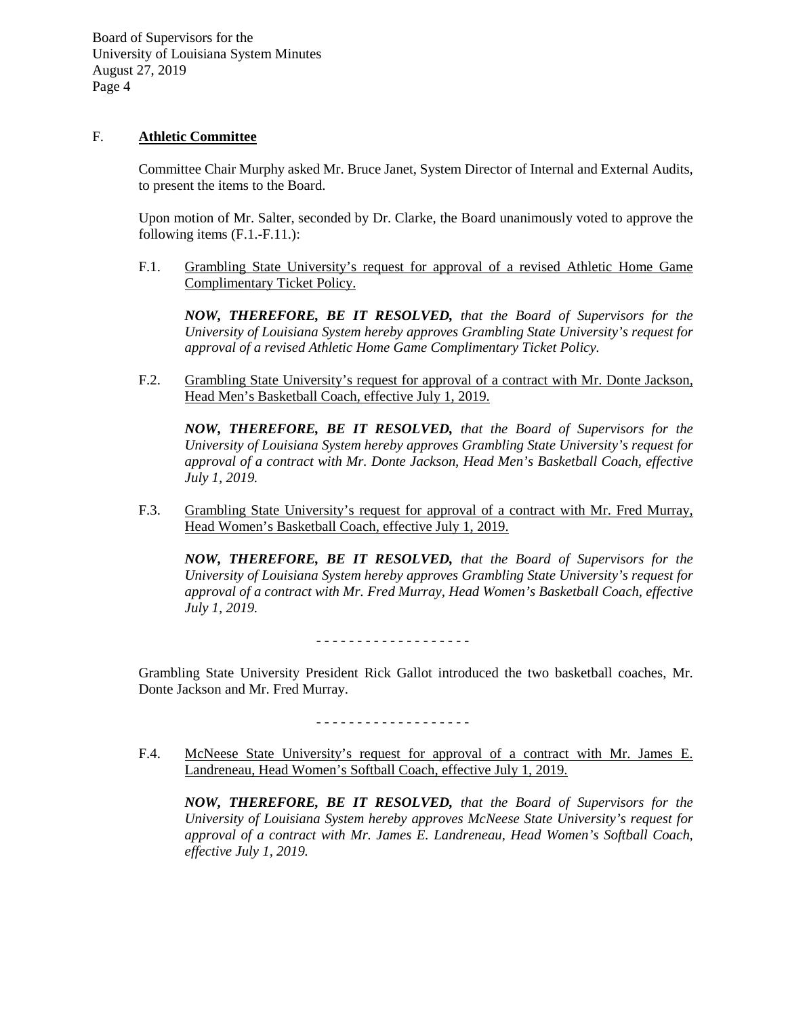## F. **Athletic Committee**

Committee Chair Murphy asked Mr. Bruce Janet, System Director of Internal and External Audits, to present the items to the Board.

Upon motion of Mr. Salter, seconded by Dr. Clarke, the Board unanimously voted to approve the following items (F.1.-F.11.):

F.1. Grambling State University's request for approval of a revised Athletic Home Game Complimentary Ticket Policy.

*NOW, THEREFORE, BE IT RESOLVED, that the Board of Supervisors for the University of Louisiana System hereby approves Grambling State University's request for approval of a revised Athletic Home Game Complimentary Ticket Policy.* 

F.2. Grambling State University's request for approval of a contract with Mr. Donte Jackson, Head Men's Basketball Coach, effective July 1, 2019.

*NOW, THEREFORE, BE IT RESOLVED, that the Board of Supervisors for the University of Louisiana System hereby approves Grambling State University's request for approval of a contract with Mr. Donte Jackson, Head Men's Basketball Coach, effective July 1, 2019.*

F.3. Grambling State University's request for approval of a contract with Mr. Fred Murray, Head Women's Basketball Coach, effective July 1, 2019.

*NOW, THEREFORE, BE IT RESOLVED, that the Board of Supervisors for the University of Louisiana System hereby approves Grambling State University's request for approval of a contract with Mr. Fred Murray, Head Women's Basketball Coach, effective July 1, 2019.*

- - - - - - - - - - - - - - - - - - -

Grambling State University President Rick Gallot introduced the two basketball coaches, Mr. Donte Jackson and Mr. Fred Murray.

- - - - - - - - - - - - - - - - - - -

F.4. McNeese State University's request for approval of a contract with Mr. James E. Landreneau, Head Women's Softball Coach, effective July 1, 2019.

*NOW, THEREFORE, BE IT RESOLVED, that the Board of Supervisors for the University of Louisiana System hereby approves McNeese State University's request for approval of a contract with Mr. James E. Landreneau, Head Women's Softball Coach, effective July 1, 2019.*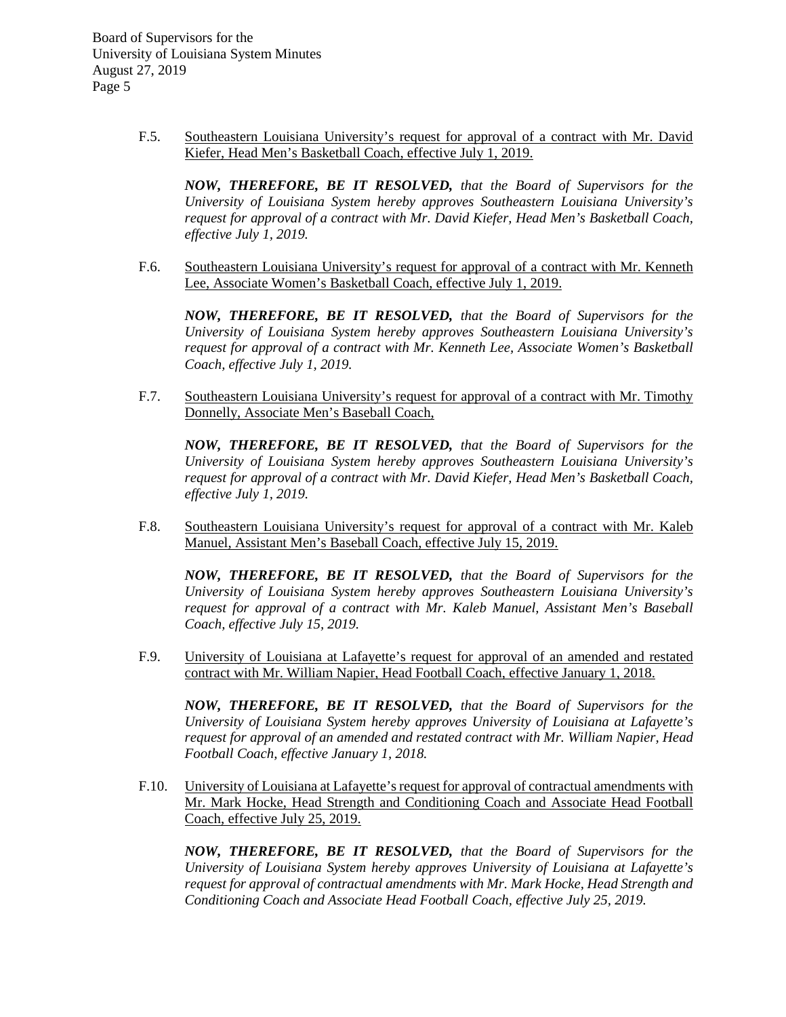> F.5. Southeastern Louisiana University's request for approval of a contract with Mr. David Kiefer, Head Men's Basketball Coach, effective July 1, 2019.

*NOW, THEREFORE, BE IT RESOLVED, that the Board of Supervisors for the University of Louisiana System hereby approves Southeastern Louisiana University's request for approval of a contract with Mr. David Kiefer, Head Men's Basketball Coach, effective July 1, 2019.*

F.6. Southeastern Louisiana University's request for approval of a contract with Mr. Kenneth Lee, Associate Women's Basketball Coach, effective July 1, 2019.

*NOW, THEREFORE, BE IT RESOLVED, that the Board of Supervisors for the University of Louisiana System hereby approves Southeastern Louisiana University's request for approval of a contract with Mr. Kenneth Lee, Associate Women's Basketball Coach, effective July 1, 2019.*

F.7. Southeastern Louisiana University's request for approval of a contract with Mr. Timothy Donnelly, Associate Men's Baseball Coach,

*NOW, THEREFORE, BE IT RESOLVED, that the Board of Supervisors for the University of Louisiana System hereby approves Southeastern Louisiana University's request for approval of a contract with Mr. David Kiefer, Head Men's Basketball Coach, effective July 1, 2019.*

F.8. Southeastern Louisiana University's request for approval of a contract with Mr. Kaleb Manuel, Assistant Men's Baseball Coach, effective July 15, 2019.

*NOW, THEREFORE, BE IT RESOLVED, that the Board of Supervisors for the University of Louisiana System hereby approves Southeastern Louisiana University's request for approval of a contract with Mr. Kaleb Manuel, Assistant Men's Baseball Coach, effective July 15, 2019.*

F.9. University of Louisiana at Lafayette's request for approval of an amended and restated contract with Mr. William Napier, Head Football Coach, effective January 1, 2018.

*NOW, THEREFORE, BE IT RESOLVED, that the Board of Supervisors for the University of Louisiana System hereby approves University of Louisiana at Lafayette's request for approval of an amended and restated contract with Mr. William Napier, Head Football Coach, effective January 1, 2018.*

F.10. University of Louisiana at Lafayette's request for approval of contractual amendments with Mr. Mark Hocke, Head Strength and Conditioning Coach and Associate Head Football Coach, effective July 25, 2019.

*NOW, THEREFORE, BE IT RESOLVED, that the Board of Supervisors for the University of Louisiana System hereby approves University of Louisiana at Lafayette's request for approval of contractual amendments with Mr. Mark Hocke, Head Strength and Conditioning Coach and Associate Head Football Coach, effective July 25, 2019.*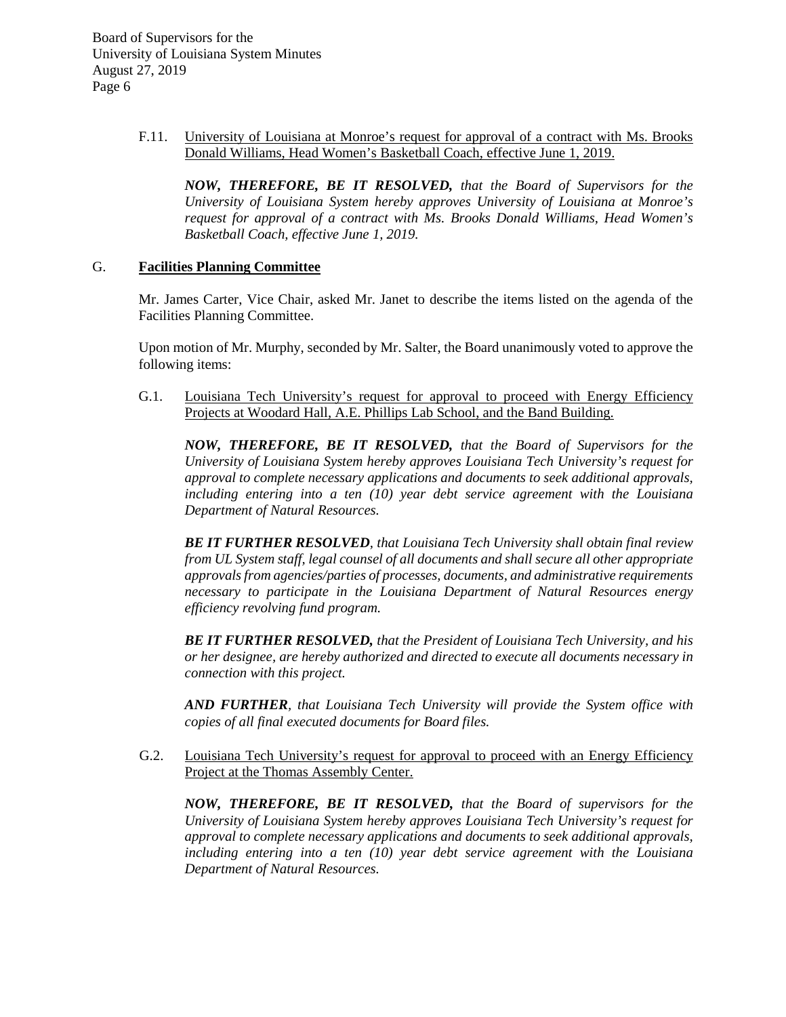> F.11. University of Louisiana at Monroe's request for approval of a contract with Ms. Brooks Donald Williams, Head Women's Basketball Coach, effective June 1, 2019.

*NOW, THEREFORE, BE IT RESOLVED, that the Board of Supervisors for the University of Louisiana System hereby approves University of Louisiana at Monroe's request for approval of a contract with Ms. Brooks Donald Williams, Head Women's Basketball Coach, effective June 1, 2019.*

#### G. **Facilities Planning Committee**

Mr. James Carter, Vice Chair, asked Mr. Janet to describe the items listed on the agenda of the Facilities Planning Committee.

Upon motion of Mr. Murphy, seconded by Mr. Salter, the Board unanimously voted to approve the following items:

G.1. Louisiana Tech University's request for approval to proceed with Energy Efficiency Projects at Woodard Hall, A.E. Phillips Lab School, and the Band Building.

*NOW, THEREFORE, BE IT RESOLVED, that the Board of Supervisors for the University of Louisiana System hereby approves Louisiana Tech University's request for approval to complete necessary applications and documents to seek additional approvals, including entering into a ten (10) year debt service agreement with the Louisiana Department of Natural Resources.*

*BE IT FURTHER RESOLVED, that Louisiana Tech University shall obtain final review from UL System staff, legal counsel of all documents and shall secure all other appropriate approvalsfrom agencies/parties of processes, documents, and administrative requirements necessary to participate in the Louisiana Department of Natural Resources energy efficiency revolving fund program.*

*BE IT FURTHER RESOLVED, that the President of Louisiana Tech University, and his or her designee, are hereby authorized and directed to execute all documents necessary in connection with this project.*

*AND FURTHER, that Louisiana Tech University will provide the System office with copies of all final executed documents for Board files.*

 G.2. Louisiana Tech University's request for approval to proceed with an Energy Efficiency Project at the Thomas Assembly Center.

*NOW, THEREFORE, BE IT RESOLVED, that the Board of supervisors for the University of Louisiana System hereby approves Louisiana Tech University's request for approval to complete necessary applications and documents to seek additional approvals, including entering into a ten (10) year debt service agreement with the Louisiana Department of Natural Resources.*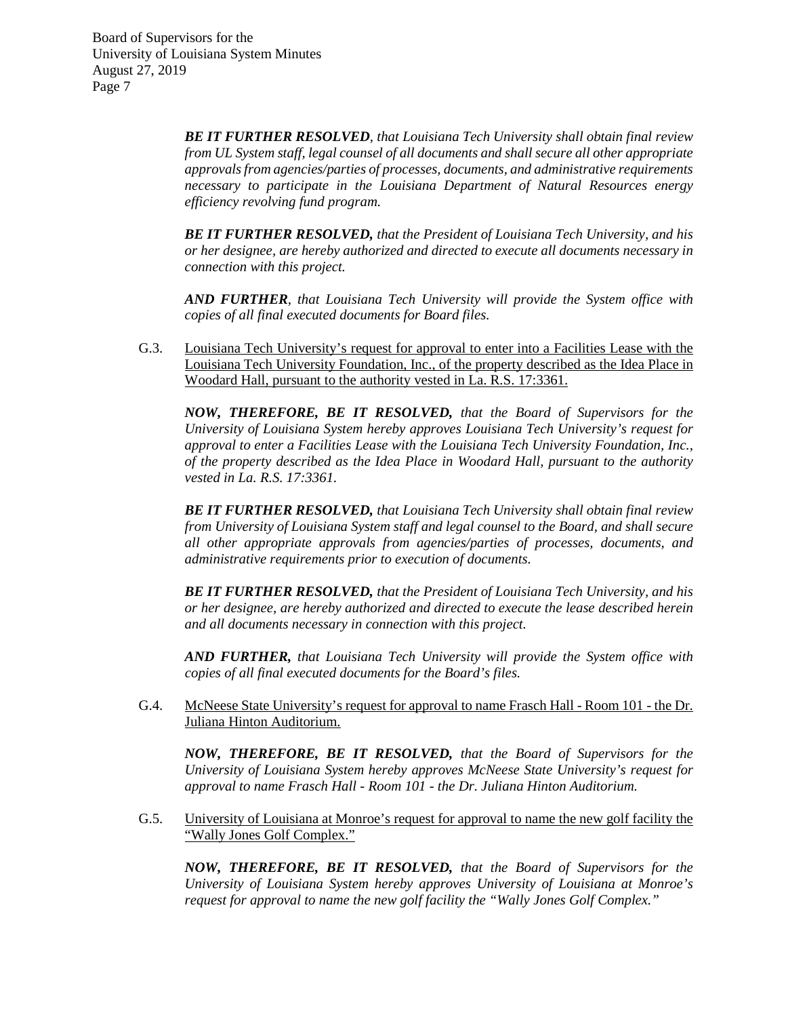> *BE IT FURTHER RESOLVED, that Louisiana Tech University shall obtain final review from UL System staff, legal counsel of all documents and shall secure all other appropriate approvals from agencies/parties of processes, documents, and administrative requirements necessary to participate in the Louisiana Department of Natural Resources energy efficiency revolving fund program.*

> *BE IT FURTHER RESOLVED, that the President of Louisiana Tech University, and his or her designee, are hereby authorized and directed to execute all documents necessary in connection with this project.*

> *AND FURTHER, that Louisiana Tech University will provide the System office with copies of all final executed documents for Board files.*

G.3. Louisiana Tech University's request for approval to enter into a Facilities Lease with the Louisiana Tech University Foundation, Inc., of the property described as the Idea Place in Woodard Hall, pursuant to the authority vested in La. R.S. 17:3361.

*NOW, THEREFORE, BE IT RESOLVED, that the Board of Supervisors for the University of Louisiana System hereby approves Louisiana Tech University's request for approval to enter a Facilities Lease with the Louisiana Tech University Foundation, Inc., of the property described as the Idea Place in Woodard Hall, pursuant to the authority vested in La. R.S. 17:3361.*

*BE IT FURTHER RESOLVED, that Louisiana Tech University shall obtain final review from University of Louisiana System staff and legal counsel to the Board, and shall secure all other appropriate approvals from agencies/parties of processes, documents, and administrative requirements prior to execution of documents.*

*BE IT FURTHER RESOLVED, that the President of Louisiana Tech University, and his or her designee, are hereby authorized and directed to execute the lease described herein and all documents necessary in connection with this project.*

*AND FURTHER, that Louisiana Tech University will provide the System office with copies of all final executed documents for the Board's files.*

G.4. McNeese State University's request for approval to name Frasch Hall - Room 101 - the Dr. Juliana Hinton Auditorium.

*NOW, THEREFORE, BE IT RESOLVED, that the Board of Supervisors for the University of Louisiana System hereby approves McNeese State University's request for approval to name Frasch Hall - Room 101 - the Dr. Juliana Hinton Auditorium.* 

G.5. University of Louisiana at Monroe's request for approval to name the new golf facility the "Wally Jones Golf Complex."

*NOW, THEREFORE, BE IT RESOLVED, that the Board of Supervisors for the University of Louisiana System hereby approves University of Louisiana at Monroe's request for approval to name the new golf facility the "Wally Jones Golf Complex."*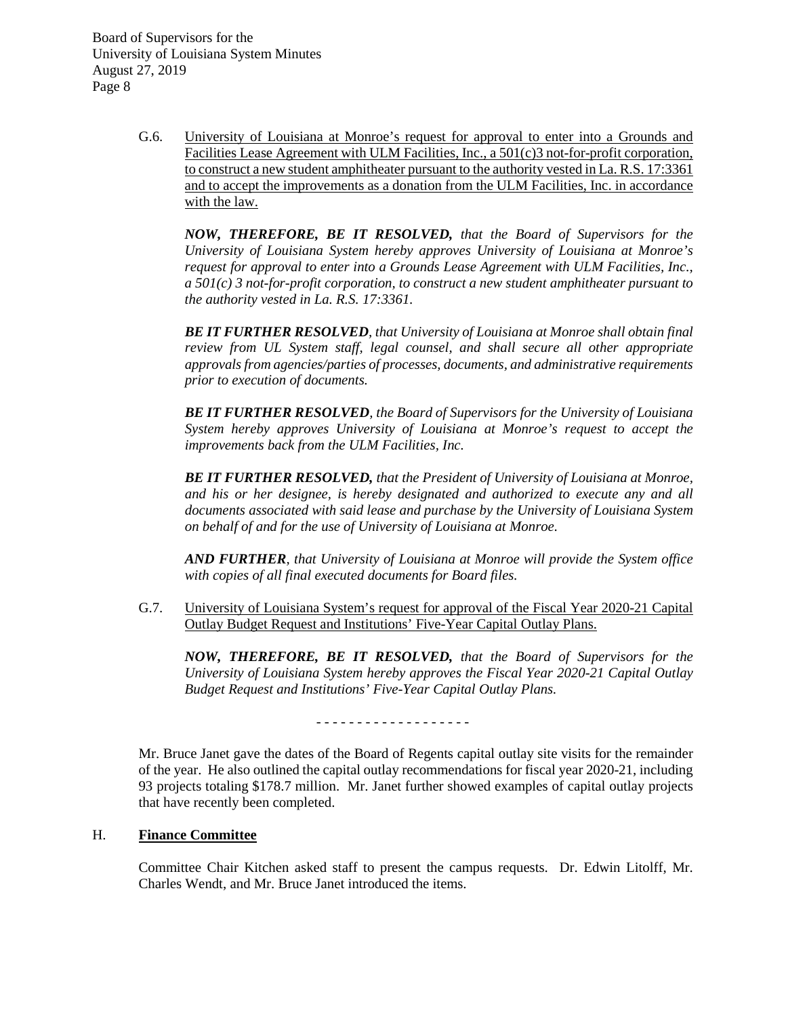> G.6. University of Louisiana at Monroe's request for approval to enter into a Grounds and Facilities Lease Agreement with ULM Facilities, Inc., a 501(c)3 not-for-profit corporation, to construct a new student amphitheater pursuant to the authority vested in La. R.S. 17:3361 and to accept the improvements as a donation from the ULM Facilities, Inc. in accordance with the law.

*NOW, THEREFORE, BE IT RESOLVED, that the Board of Supervisors for the University of Louisiana System hereby approves University of Louisiana at Monroe's request for approval to enter into a Grounds Lease Agreement with ULM Facilities, Inc., a 501(c) 3 not-for-profit corporation, to construct a new student amphitheater pursuant to the authority vested in La. R.S. 17:3361.*

*BE IT FURTHER RESOLVED, that University of Louisiana at Monroe shall obtain final review from UL System staff, legal counsel, and shall secure all other appropriate approvals from agencies/parties of processes, documents, and administrative requirements prior to execution of documents.* 

*BE IT FURTHER RESOLVED, the Board of Supervisors for the University of Louisiana System hereby approves University of Louisiana at Monroe's request to accept the improvements back from the ULM Facilities, Inc.*

*BE IT FURTHER RESOLVED, that the President of University of Louisiana at Monroe, and his or her designee, is hereby designated and authorized to execute any and all documents associated with said lease and purchase by the University of Louisiana System on behalf of and for the use of University of Louisiana at Monroe.*

*AND FURTHER, that University of Louisiana at Monroe will provide the System office with copies of all final executed documents for Board files.*

G.7. University of Louisiana System's request for approval of the Fiscal Year 2020-21 Capital Outlay Budget Request and Institutions' Five-Year Capital Outlay Plans.

*NOW, THEREFORE, BE IT RESOLVED, that the Board of Supervisors for the University of Louisiana System hereby approves the Fiscal Year 2020-21 Capital Outlay Budget Request and Institutions' Five-Year Capital Outlay Plans.*

- - - - - - - - - - - - - - - - - - -

Mr. Bruce Janet gave the dates of the Board of Regents capital outlay site visits for the remainder of the year. He also outlined the capital outlay recommendations for fiscal year 2020-21, including 93 projects totaling \$178.7 million. Mr. Janet further showed examples of capital outlay projects that have recently been completed.

# H. **Finance Committee**

Committee Chair Kitchen asked staff to present the campus requests. Dr. Edwin Litolff, Mr. Charles Wendt, and Mr. Bruce Janet introduced the items.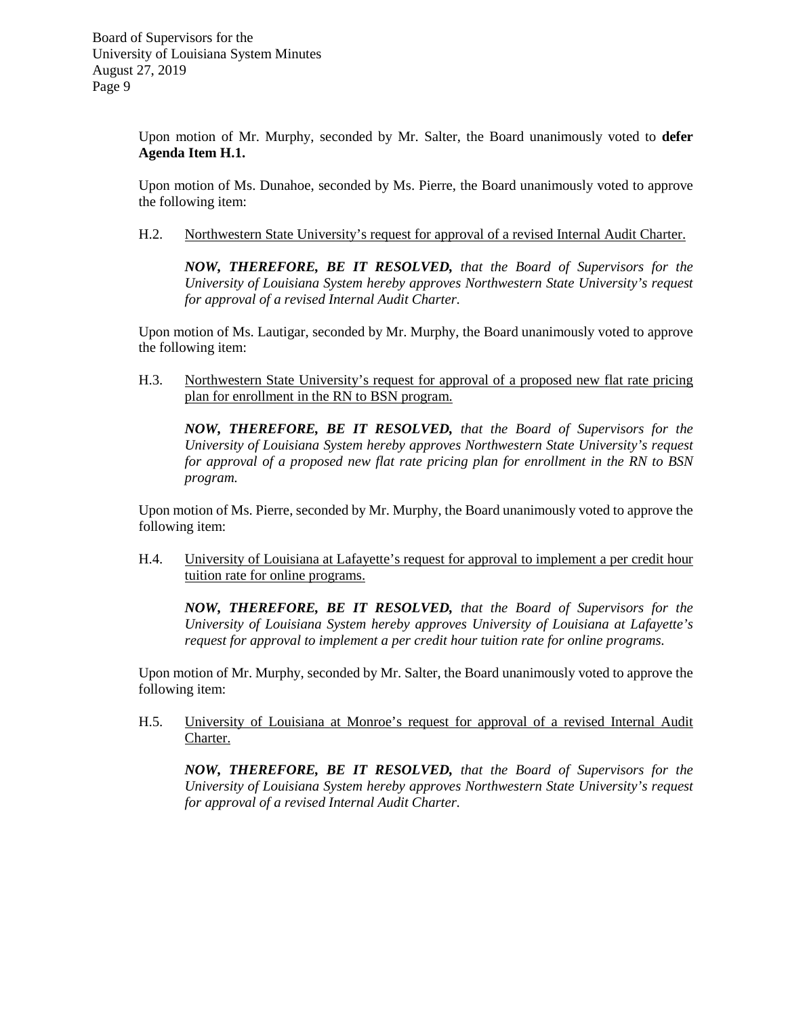Upon motion of Mr. Murphy, seconded by Mr. Salter, the Board unanimously voted to **defer Agenda Item H.1.**

Upon motion of Ms. Dunahoe, seconded by Ms. Pierre, the Board unanimously voted to approve the following item:

H.2. Northwestern State University's request for approval of a revised Internal Audit Charter.

*NOW, THEREFORE, BE IT RESOLVED, that the Board of Supervisors for the University of Louisiana System hereby approves Northwestern State University's request for approval of a revised Internal Audit Charter.* 

Upon motion of Ms. Lautigar, seconded by Mr. Murphy, the Board unanimously voted to approve the following item:

H.3. Northwestern State University's request for approval of a proposed new flat rate pricing plan for enrollment in the RN to BSN program.

*NOW, THEREFORE, BE IT RESOLVED, that the Board of Supervisors for the University of Louisiana System hereby approves Northwestern State University's request for approval of a proposed new flat rate pricing plan for enrollment in the RN to BSN program.*

Upon motion of Ms. Pierre, seconded by Mr. Murphy, the Board unanimously voted to approve the following item:

H.4. University of Louisiana at Lafayette's request for approval to implement a per credit hour tuition rate for online programs.

*NOW, THEREFORE, BE IT RESOLVED, that the Board of Supervisors for the University of Louisiana System hereby approves University of Louisiana at Lafayette's request for approval to implement a per credit hour tuition rate for online programs.*

Upon motion of Mr. Murphy, seconded by Mr. Salter, the Board unanimously voted to approve the following item:

H.5. University of Louisiana at Monroe's request for approval of a revised Internal Audit Charter.

*NOW, THEREFORE, BE IT RESOLVED, that the Board of Supervisors for the University of Louisiana System hereby approves Northwestern State University's request for approval of a revised Internal Audit Charter.*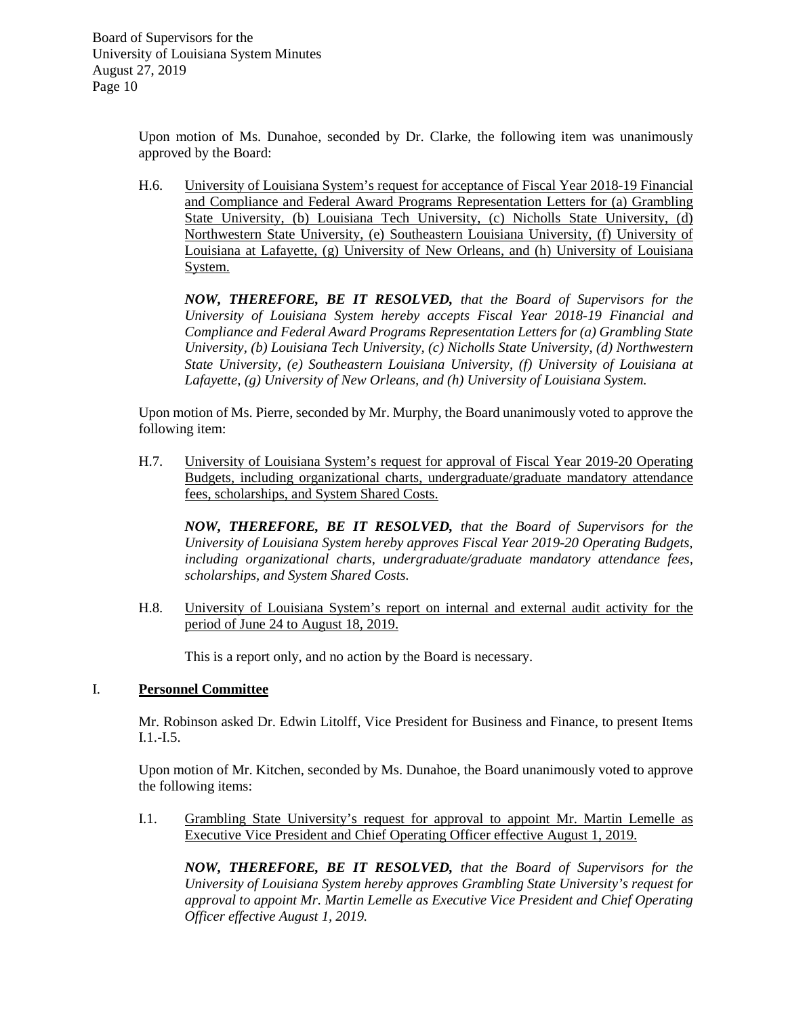> Upon motion of Ms. Dunahoe, seconded by Dr. Clarke, the following item was unanimously approved by the Board:

> H.6. University of Louisiana System's request for acceptance of Fiscal Year 2018-19 Financial and Compliance and Federal Award Programs Representation Letters for (a) Grambling State University, (b) Louisiana Tech University, (c) Nicholls State University, (d) Northwestern State University, (e) Southeastern Louisiana University, (f) University of Louisiana at Lafayette, (g) University of New Orleans, and (h) University of Louisiana System.

*NOW, THEREFORE, BE IT RESOLVED, that the Board of Supervisors for the University of Louisiana System hereby accepts Fiscal Year 2018-19 Financial and Compliance and Federal Award Programs Representation Letters for (a) Grambling State University, (b) Louisiana Tech University, (c) Nicholls State University, (d) Northwestern State University, (e) Southeastern Louisiana University, (f) University of Louisiana at Lafayette, (g) University of New Orleans, and (h) University of Louisiana System.*

Upon motion of Ms. Pierre, seconded by Mr. Murphy, the Board unanimously voted to approve the following item:

H.7. University of Louisiana System's request for approval of Fiscal Year 2019-20 Operating Budgets, including organizational charts, undergraduate/graduate mandatory attendance fees, scholarships, and System Shared Costs.

*NOW, THEREFORE, BE IT RESOLVED, that the Board of Supervisors for the University of Louisiana System hereby approves Fiscal Year 2019-20 Operating Budgets, including organizational charts, undergraduate/graduate mandatory attendance fees, scholarships, and System Shared Costs.*

H.8. University of Louisiana System's report on internal and external audit activity for the period of June 24 to August 18, 2019.

This is a report only, and no action by the Board is necessary.

## I. **Personnel Committee**

Mr. Robinson asked Dr. Edwin Litolff, Vice President for Business and Finance, to present Items I.1.-I.5.

Upon motion of Mr. Kitchen, seconded by Ms. Dunahoe, the Board unanimously voted to approve the following items:

I.1. Grambling State University's request for approval to appoint Mr. Martin Lemelle as Executive Vice President and Chief Operating Officer effective August 1, 2019.

*NOW, THEREFORE, BE IT RESOLVED, that the Board of Supervisors for the University of Louisiana System hereby approves Grambling State University's request for approval to appoint Mr. Martin Lemelle as Executive Vice President and Chief Operating Officer effective August 1, 2019.*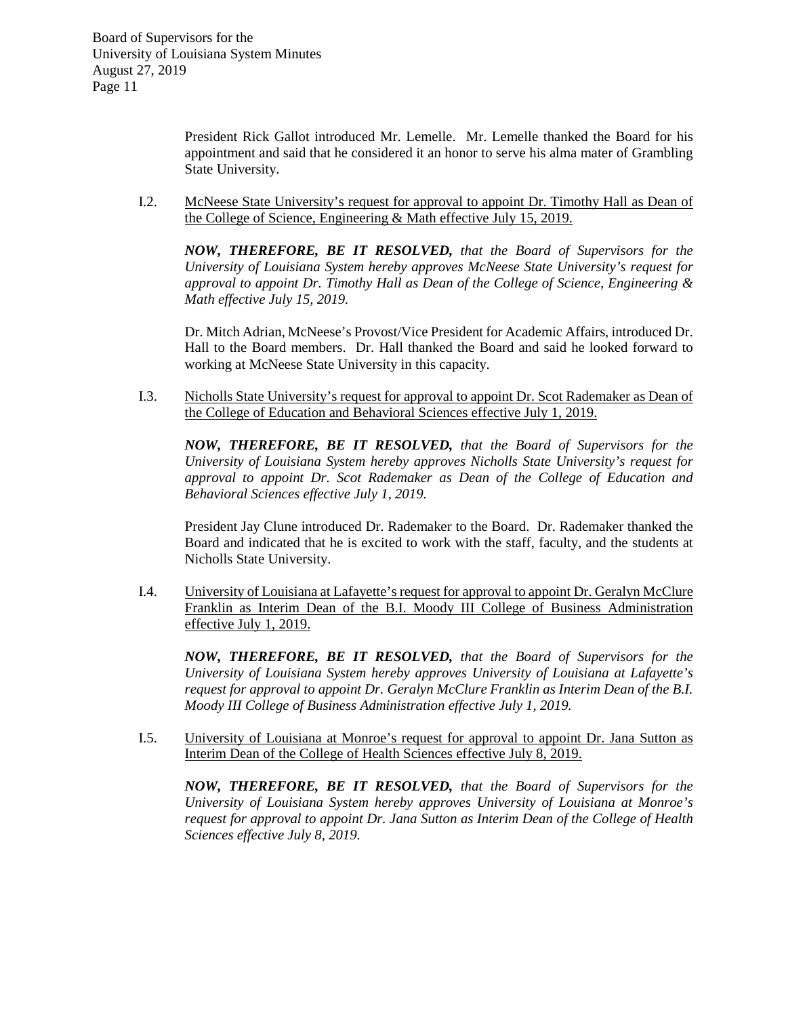President Rick Gallot introduced Mr. Lemelle. Mr. Lemelle thanked the Board for his appointment and said that he considered it an honor to serve his alma mater of Grambling State University.

I.2. McNeese State University's request for approval to appoint Dr. Timothy Hall as Dean of the College of Science, Engineering & Math effective July 15, 2019.

*NOW, THEREFORE, BE IT RESOLVED, that the Board of Supervisors for the University of Louisiana System hereby approves McNeese State University's request for approval to appoint Dr. Timothy Hall as Dean of the College of Science, Engineering & Math effective July 15, 2019.*

Dr. Mitch Adrian, McNeese's Provost/Vice President for Academic Affairs, introduced Dr. Hall to the Board members. Dr. Hall thanked the Board and said he looked forward to working at McNeese State University in this capacity.

I.3. Nicholls State University's request for approval to appoint Dr. Scot Rademaker as Dean of the College of Education and Behavioral Sciences effective July 1, 2019.

*NOW, THEREFORE, BE IT RESOLVED, that the Board of Supervisors for the University of Louisiana System hereby approves Nicholls State University's request for approval to appoint Dr. Scot Rademaker as Dean of the College of Education and Behavioral Sciences effective July 1, 2019.*

President Jay Clune introduced Dr. Rademaker to the Board. Dr. Rademaker thanked the Board and indicated that he is excited to work with the staff, faculty, and the students at Nicholls State University.

I.4. University of Louisiana at Lafayette's request for approval to appoint Dr. Geralyn McClure Franklin as Interim Dean of the B.I. Moody III College of Business Administration effective July 1, 2019.

*NOW, THEREFORE, BE IT RESOLVED, that the Board of Supervisors for the University of Louisiana System hereby approves University of Louisiana at Lafayette's request for approval to appoint Dr. Geralyn McClure Franklin as Interim Dean of the B.I. Moody III College of Business Administration effective July 1, 2019.*

I.5. University of Louisiana at Monroe's request for approval to appoint Dr. Jana Sutton as Interim Dean of the College of Health Sciences effective July 8, 2019.

*NOW, THEREFORE, BE IT RESOLVED, that the Board of Supervisors for the University of Louisiana System hereby approves University of Louisiana at Monroe's request for approval to appoint Dr. Jana Sutton as Interim Dean of the College of Health Sciences effective July 8, 2019.*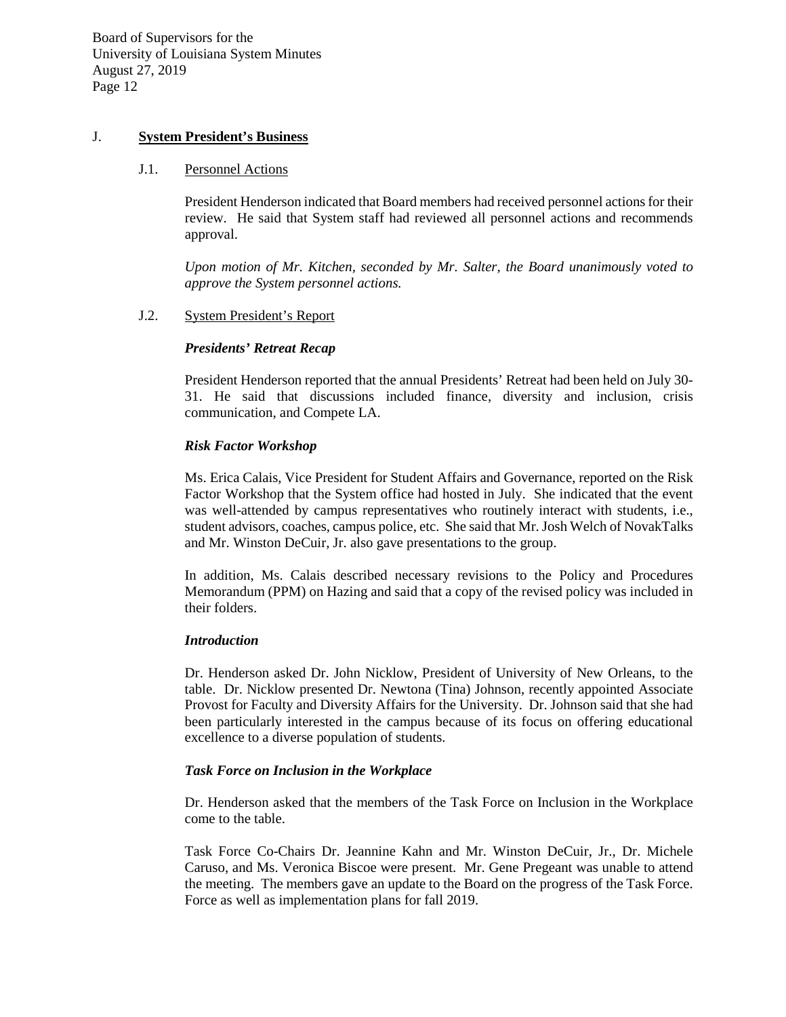## J. **System President's Business**

#### J.1. Personnel Actions

President Henderson indicated that Board members had received personnel actions for their review. He said that System staff had reviewed all personnel actions and recommends approval.

*Upon motion of Mr. Kitchen, seconded by Mr. Salter, the Board unanimously voted to approve the System personnel actions.*

## J.2. System President's Report

#### *Presidents' Retreat Recap*

President Henderson reported that the annual Presidents' Retreat had been held on July 30- 31. He said that discussions included finance, diversity and inclusion, crisis communication, and Compete LA.

#### *Risk Factor Workshop*

Ms. Erica Calais, Vice President for Student Affairs and Governance, reported on the Risk Factor Workshop that the System office had hosted in July. She indicated that the event was well-attended by campus representatives who routinely interact with students, i.e., student advisors, coaches, campus police, etc. She said that Mr. Josh Welch of NovakTalks and Mr. Winston DeCuir, Jr. also gave presentations to the group.

In addition, Ms. Calais described necessary revisions to the Policy and Procedures Memorandum (PPM) on Hazing and said that a copy of the revised policy was included in their folders.

#### *Introduction*

Dr. Henderson asked Dr. John Nicklow, President of University of New Orleans, to the table. Dr. Nicklow presented Dr. Newtona (Tina) Johnson, recently appointed Associate Provost for Faculty and Diversity Affairs for the University. Dr. Johnson said that she had been particularly interested in the campus because of its focus on offering educational excellence to a diverse population of students.

#### *Task Force on Inclusion in the Workplace*

Dr. Henderson asked that the members of the Task Force on Inclusion in the Workplace come to the table.

Task Force Co-Chairs Dr. Jeannine Kahn and Mr. Winston DeCuir, Jr., Dr. Michele Caruso, and Ms. Veronica Biscoe were present. Mr. Gene Pregeant was unable to attend the meeting. The members gave an update to the Board on the progress of the Task Force. Force as well as implementation plans for fall 2019.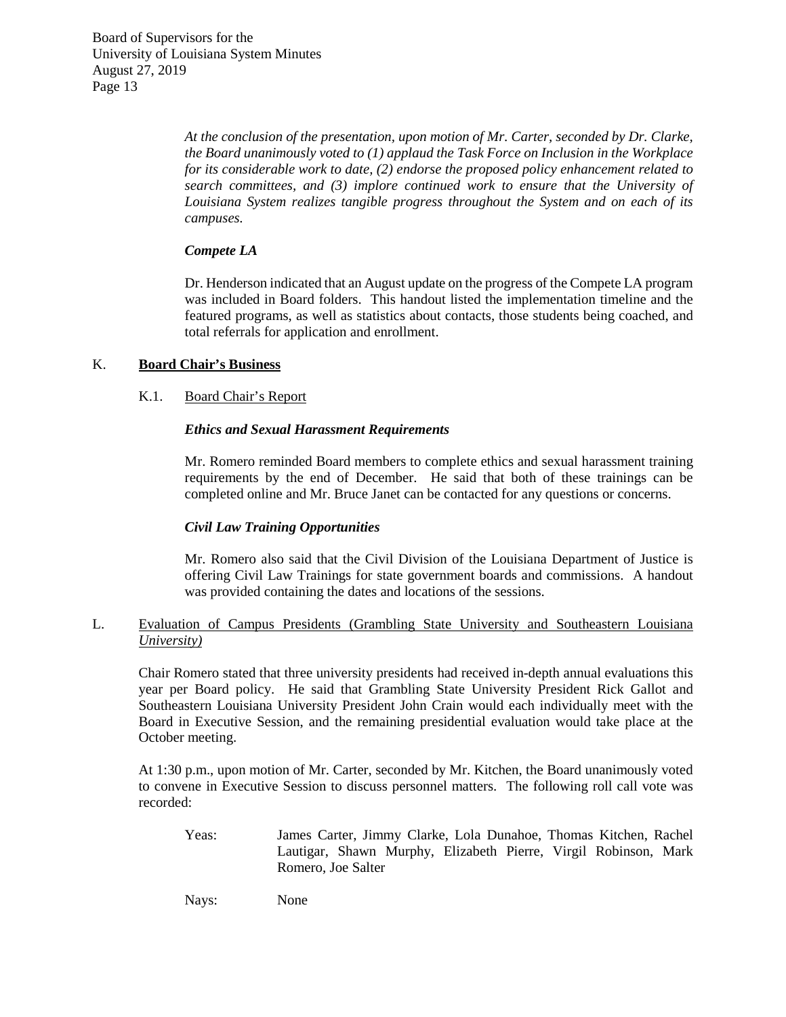> *At the conclusion of the presentation, upon motion of Mr. Carter, seconded by Dr. Clarke, the Board unanimously voted to (1) applaud the Task Force on Inclusion in the Workplace for its considerable work to date, (2) endorse the proposed policy enhancement related to search committees, and (3) implore continued work to ensure that the University of Louisiana System realizes tangible progress throughout the System and on each of its campuses.*

## *Compete LA*

Dr. Henderson indicated that an August update on the progress of the Compete LA program was included in Board folders. This handout listed the implementation timeline and the featured programs, as well as statistics about contacts, those students being coached, and total referrals for application and enrollment.

# K. **Board Chair's Business**

## K.1. Board Chair's Report

## *Ethics and Sexual Harassment Requirements*

Mr. Romero reminded Board members to complete ethics and sexual harassment training requirements by the end of December. He said that both of these trainings can be completed online and Mr. Bruce Janet can be contacted for any questions or concerns.

## *Civil Law Training Opportunities*

Mr. Romero also said that the Civil Division of the Louisiana Department of Justice is offering Civil Law Trainings for state government boards and commissions. A handout was provided containing the dates and locations of the sessions.

## L. Evaluation of Campus Presidents (Grambling State University and Southeastern Louisiana *University)*

Chair Romero stated that three university presidents had received in-depth annual evaluations this year per Board policy. He said that Grambling State University President Rick Gallot and Southeastern Louisiana University President John Crain would each individually meet with the Board in Executive Session, and the remaining presidential evaluation would take place at the October meeting.

At 1:30 p.m., upon motion of Mr. Carter, seconded by Mr. Kitchen, the Board unanimously voted to convene in Executive Session to discuss personnel matters. The following roll call vote was recorded:

Yeas: James Carter, Jimmy Clarke, Lola Dunahoe, Thomas Kitchen, Rachel Lautigar, Shawn Murphy, Elizabeth Pierre, Virgil Robinson, Mark Romero, Joe Salter

Nays: None